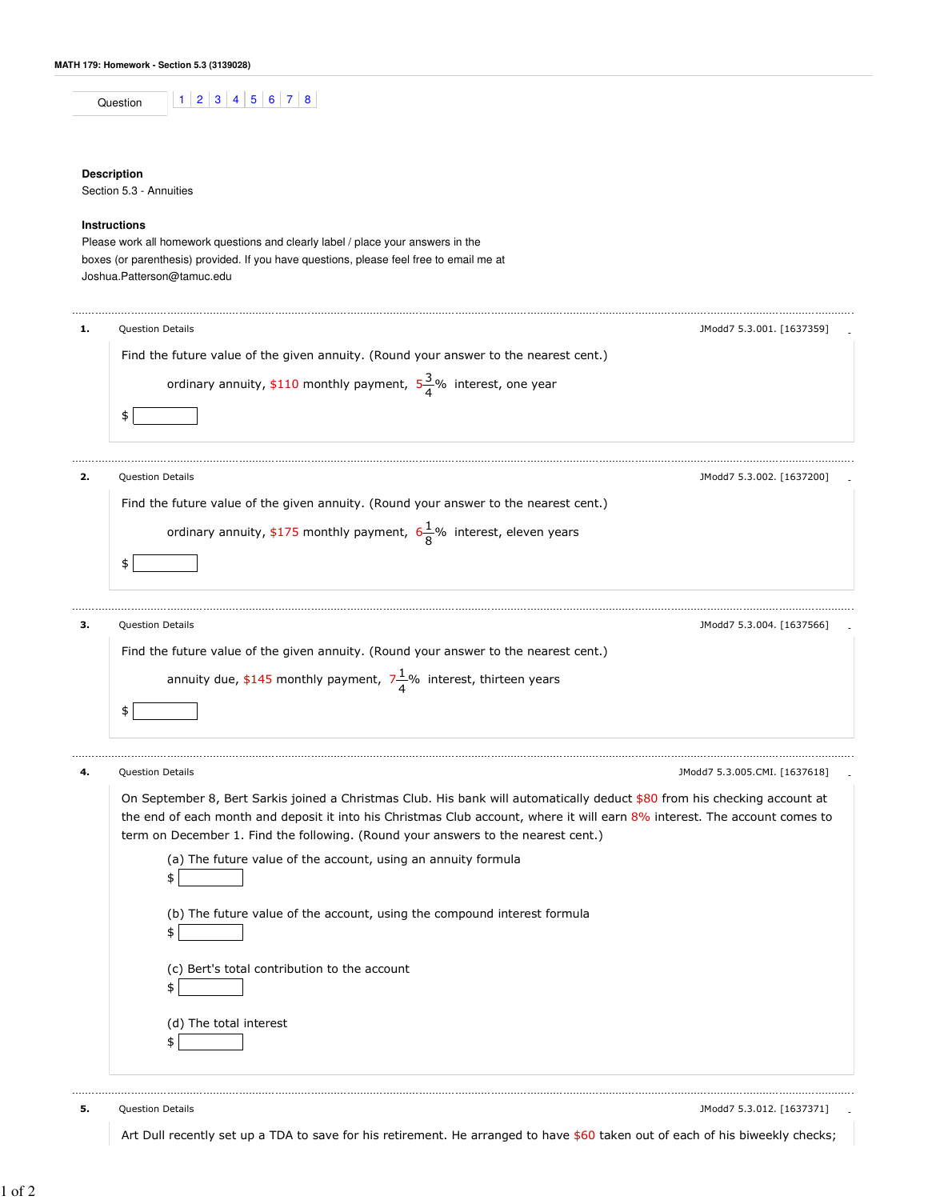| <br>nn |  |  |  |  |
|--------|--|--|--|--|
|        |  |  |  |  |

## **Description**

Section 5.3 - Annuities

## **Instructions**

Please work all homework questions and clearly label / place your answers in the boxes (or parenthesis) provided. If you have questions, please feel free to email me at Joshua.Patterson@tamuc.edu

|  | Question Details<br>JModd7 5.3.001.  1637359                                                                                                                                                                    |  |  |  |  |  |
|--|-----------------------------------------------------------------------------------------------------------------------------------------------------------------------------------------------------------------|--|--|--|--|--|
|  | Find the future value of the given annuity. (Round your answer to the nearest cent.)                                                                                                                            |  |  |  |  |  |
|  | ordinary annuity, \$110 monthly payment, $5\frac{3}{4}$ % interest, one year                                                                                                                                    |  |  |  |  |  |
|  | \$                                                                                                                                                                                                              |  |  |  |  |  |
|  |                                                                                                                                                                                                                 |  |  |  |  |  |
|  | Question Details<br>JModd7 5.3.002. [1637200]                                                                                                                                                                   |  |  |  |  |  |
|  | Find the future value of the given annuity. (Round your answer to the nearest cent.)                                                                                                                            |  |  |  |  |  |
|  | ordinary annuity, \$175 monthly payment, $6\frac{1}{8}\%$ interest, eleven years                                                                                                                                |  |  |  |  |  |
|  | \$                                                                                                                                                                                                              |  |  |  |  |  |
|  | <b>Question Details</b><br>JModd7 5.3.004. [1637566]                                                                                                                                                            |  |  |  |  |  |
|  | Find the future value of the given annuity. (Round your answer to the nearest cent.)                                                                                                                            |  |  |  |  |  |
|  | annuity due, \$145 monthly payment, $7\frac{1}{4}$ % interest, thirteen years                                                                                                                                   |  |  |  |  |  |
|  |                                                                                                                                                                                                                 |  |  |  |  |  |
|  | \$                                                                                                                                                                                                              |  |  |  |  |  |
|  |                                                                                                                                                                                                                 |  |  |  |  |  |
|  | Question Details<br>JModd7 5.3.005.CMI. [1637618]                                                                                                                                                               |  |  |  |  |  |
|  | On September 8, Bert Sarkis joined a Christmas Club. His bank will automatically deduct \$80 from his checking account at                                                                                       |  |  |  |  |  |
|  | the end of each month and deposit it into his Christmas Club account, where it will earn 8% interest. The account comes to<br>term on December 1. Find the following. (Round your answers to the nearest cent.) |  |  |  |  |  |
|  | (a) The future value of the account, using an annuity formula                                                                                                                                                   |  |  |  |  |  |
|  |                                                                                                                                                                                                                 |  |  |  |  |  |
|  |                                                                                                                                                                                                                 |  |  |  |  |  |
|  | (b) The future value of the account, using the compound interest formula                                                                                                                                        |  |  |  |  |  |
|  |                                                                                                                                                                                                                 |  |  |  |  |  |
|  | (c) Bert's total contribution to the account                                                                                                                                                                    |  |  |  |  |  |
|  |                                                                                                                                                                                                                 |  |  |  |  |  |
|  | (d) The total interest<br>\$                                                                                                                                                                                    |  |  |  |  |  |

Art Dull recently set up a TDA to save for his retirement. He arranged to have \$60 taken out of each of his biweekly checks;